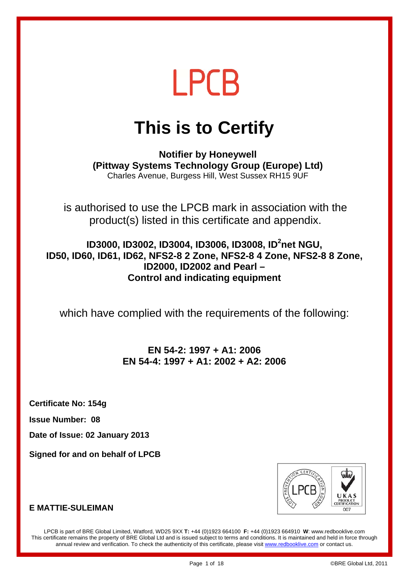## **This is to Certify**

**Notifier by Honeywell (Pittway Systems Technology Group (Europe) Ltd)**  Charles Avenue, Burgess Hill, West Sussex RH15 9UF

is authorised to use the LPCB mark in association with the product(s) listed in this certificate and appendix.

**ID3000, ID3002, ID3004, ID3006, ID3008, ID<sup>2</sup>net NGU, ID50, ID60, ID61, ID62, NFS2-8 2 Zone, NFS2-8 4 Zone, NFS2-8 8 Zone, ID2000, ID2002 and Pearl – Control and indicating equipment** 

which have complied with the requirements of the following:

### **EN 54-2: 1997 + A1: 2006 EN 54-4: 1997 + A1: 2002 + A2: 2006**

**Certificate No: 154g** 

**Issue Number: 08** 

**Date of Issue: 02 January 2013** 

**Signed for and on behalf of LPCB** 



#### **E MATTIF-SUL FIMAN**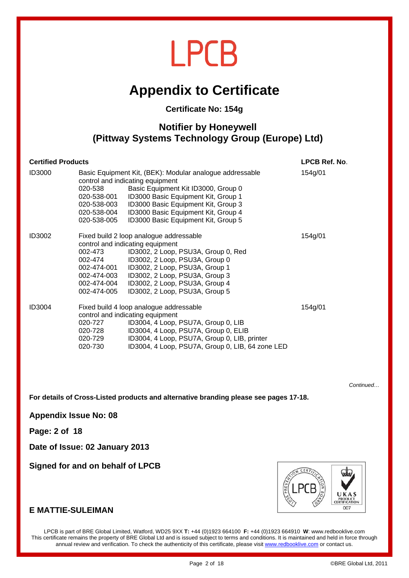### **Appendix to Certificate**

#### **Certificate No: 154g**

#### **Notifier by Honeywell (Pittway Systems Technology Group (Europe) Ltd)**

| <b>Certified Products</b> |                                                                                                                                                                                                                                                                                                                       |                                                                                                                                                                                                                                                                                                 | LPCB Ref. No. |
|---------------------------|-----------------------------------------------------------------------------------------------------------------------------------------------------------------------------------------------------------------------------------------------------------------------------------------------------------------------|-------------------------------------------------------------------------------------------------------------------------------------------------------------------------------------------------------------------------------------------------------------------------------------------------|---------------|
| ID3000                    | 020-538<br>020-538-001<br>020-538-003<br>020-538-004<br>020-538-005                                                                                                                                                                                                                                                   | Basic Equipment Kit, (BEK): Modular analogue addressable<br>control and indicating equipment<br>Basic Equipment Kit ID3000, Group 0<br>ID3000 Basic Equipment Kit, Group 1<br>ID3000 Basic Equipment Kit, Group 3<br>ID3000 Basic Equipment Kit, Group 4<br>ID3000 Basic Equipment Kit, Group 5 | 154g/01       |
| ID3002                    | 002-473<br>002-474<br>002-474-001<br>002-474-003<br>002-474-004<br>002-474-005                                                                                                                                                                                                                                        | Fixed build 2 loop analogue addressable<br>control and indicating equipment<br>ID3002, 2 Loop, PSU3A, Group 0, Red<br>ID3002, 2 Loop, PSU3A, Group 0<br>ID3002, 2 Loop, PSU3A, Group 1<br>ID3002, 2 Loop, PSU3A, Group 3<br>ID3002, 2 Loop, PSU3A, Group 4<br>ID3002, 2 Loop, PSU3A, Group 5    | 154g/01       |
| ID3004                    | Fixed build 4 loop analogue addressable<br>154g/01<br>control and indicating equipment<br>020-727<br>ID3004, 4 Loop, PSU7A, Group 0, LIB<br>ID3004, 4 Loop, PSU7A, Group 0, ELIB<br>020-728<br>ID3004, 4 Loop, PSU7A, Group 0, LIB, printer<br>020-729<br>ID3004, 4 Loop, PSU7A, Group 0, LIB, 64 zone LED<br>020-730 |                                                                                                                                                                                                                                                                                                 |               |

*Continued…* 

**For details of Cross-Listed products and alternative branding please see pages 17-18.** 

**Appendix Issue No: 08** 

**Page: 2 of 18** 

**Date of Issue: 02 January 2013** 

**Signed for and on behalf of LPCB** 



#### **E MATTIE-SULEIMAN**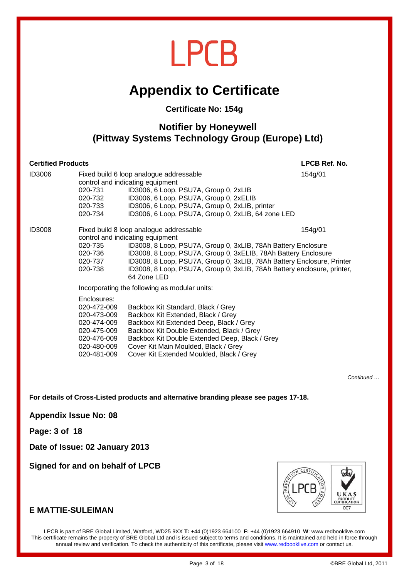### **Appendix to Certificate**

#### **Certificate No: 154g**

### **Notifier by Honeywell (Pittway Systems Technology Group (Europe) Ltd)**

| <b>Certified Products</b> | LPCB Ref. No.                                                                                                        |                                                                                                                                                                                                                                                                                                                                                                                    |         |
|---------------------------|----------------------------------------------------------------------------------------------------------------------|------------------------------------------------------------------------------------------------------------------------------------------------------------------------------------------------------------------------------------------------------------------------------------------------------------------------------------------------------------------------------------|---------|
| <b>ID3006</b>             | 020-731<br>020-732<br>020-733<br>020-734                                                                             | Fixed build 6 loop analogue addressable<br>control and indicating equipment<br>ID3006, 6 Loop, PSU7A, Group 0, 2xLIB<br>ID3006, 6 Loop, PSU7A, Group 0, 2xELIB<br>ID3006, 6 Loop, PSU7A, Group 0, 2xLIB, printer<br>ID3006, 6 Loop, PSU7A, Group 0, 2xLIB, 64 zone LED                                                                                                             | 154g/01 |
| <b>ID3008</b>             | 020-735<br>020-736<br>020-737<br>020-738                                                                             | Fixed build 8 loop analogue addressable<br>control and indicating equipment<br>ID3008, 8 Loop, PSU7A, Group 0, 3xLIB, 78Ah Battery Enclosure<br>ID3008, 8 Loop, PSU7A, Group 0, 3xELIB, 78Ah Battery Enclosure<br>ID3008, 8 Loop, PSU7A, Group 0, 3xLIB, 78Ah Battery Enclosure, Printer<br>ID3008, 8 Loop, PSU7A, Group 0, 3xLIB, 78Ah Battery enclosure, printer,<br>64 Zone LED | 154g/01 |
|                           | Enclosures:<br>020-472-009<br>020-473-009<br>020-474-009<br>020-475-009<br>020-476-009<br>020-480-009<br>020-481-009 | Incorporating the following as modular units:<br>Backbox Kit Standard, Black / Grey<br>Backbox Kit Extended, Black / Grey<br>Backbox Kit Extended Deep, Black / Grey<br>Backbox Kit Double Extended, Black / Grey<br>Backbox Kit Double Extended Deep, Black / Grey<br>Cover Kit Main Moulded, Black / Grey<br>Cover Kit Extended Moulded, Black / Grey                            |         |

*Continued …* 

**For details of Cross-Listed products and alternative branding please see pages 17-18.** 

**Appendix Issue No: 08** 

**Page: 3 of 18** 

**Date of Issue: 02 January 2013** 

**Signed for and on behalf of LPCB** 



#### **E MATTIE-SULEIMAN**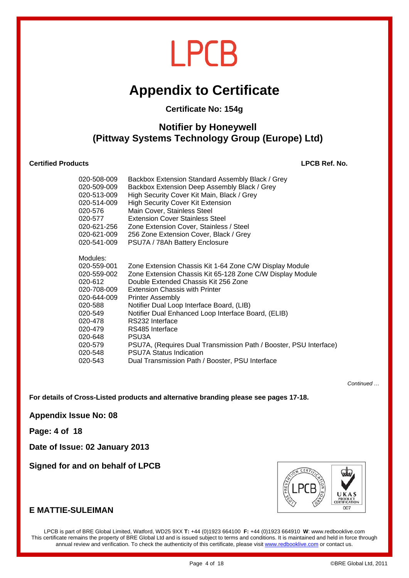## **Appendix to Certificate**

#### **Certificate No: 154g**

### **Notifier by Honeywell (Pittway Systems Technology Group (Europe) Ltd)**

#### **Certified Products LPCB Ref. No.**

| 020-508-009                                                                                                                            | Backbox Extension Standard Assembly Black / Grey                                                                                                                                                                                                                                                                                                                                                 |
|----------------------------------------------------------------------------------------------------------------------------------------|--------------------------------------------------------------------------------------------------------------------------------------------------------------------------------------------------------------------------------------------------------------------------------------------------------------------------------------------------------------------------------------------------|
| 020-509-009                                                                                                                            | Backbox Extension Deep Assembly Black / Grey                                                                                                                                                                                                                                                                                                                                                     |
| 020-513-009                                                                                                                            | High Security Cover Kit Main, Black / Grey                                                                                                                                                                                                                                                                                                                                                       |
| 020-514-009                                                                                                                            | <b>High Security Cover Kit Extension</b>                                                                                                                                                                                                                                                                                                                                                         |
| 020-576                                                                                                                                | Main Cover, Stainless Steel                                                                                                                                                                                                                                                                                                                                                                      |
| 020-577                                                                                                                                | <b>Extension Cover Stainless Steel</b>                                                                                                                                                                                                                                                                                                                                                           |
| 020-621-256                                                                                                                            | Zone Extension Cover, Stainless / Steel                                                                                                                                                                                                                                                                                                                                                          |
| 020-621-009                                                                                                                            | 256 Zone Extension Cover, Black / Grey                                                                                                                                                                                                                                                                                                                                                           |
| 020-541-009                                                                                                                            | PSU7A / 78Ah Battery Enclosure                                                                                                                                                                                                                                                                                                                                                                   |
| Modules:<br>020-559-001<br>020-559-002<br>020-612<br>020-708-009<br>020-644-009<br>020-588<br>020-549<br>020-478<br>020-479<br>020-648 | Zone Extension Chassis Kit 1-64 Zone C/W Display Module<br>Zone Extension Chassis Kit 65-128 Zone C/W Display Module<br>Double Extended Chassis Kit 256 Zone<br><b>Extension Chassis with Printer</b><br><b>Printer Assembly</b><br>Notifier Dual Loop Interface Board, (LIB)<br>Notifier Dual Enhanced Loop Interface Board, (ELIB)<br>RS232 Interface<br>RS485 Interface<br>PSU <sub>3</sub> A |
| 020-579                                                                                                                                | PSU7A, (Requires Dual Transmission Path / Booster, PSU Interface)                                                                                                                                                                                                                                                                                                                                |
| 020-548                                                                                                                                | <b>PSU7A Status Indication</b>                                                                                                                                                                                                                                                                                                                                                                   |
| 020-543                                                                                                                                | Dual Transmission Path / Booster, PSU Interface                                                                                                                                                                                                                                                                                                                                                  |

*Continued …* 

**For details of Cross-Listed products and alternative branding please see pages 17-18.** 

**Appendix Issue No: 08** 

**Page: 4 of 18** 

**Date of Issue: 02 January 2013** 

**Signed for and on behalf of LPCB** 



#### **E MATTIE-SULEIMAN**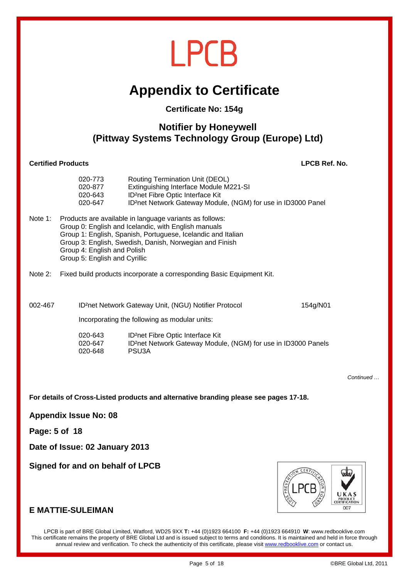## **Appendix to Certificate**

#### **Certificate No: 154g**

### **Notifier by Honeywell (Pittway Systems Technology Group (Europe) Ltd)**

#### **Certified Products LPCB Ref. No.**

|         | 020-773<br>020-877<br>020-643<br>020-647                                                                                                                                                                                                                                                                   | Routing Termination Unit (DEOL)<br>Extinguishing Interface Module M221-SI<br>ID <sup>2</sup> net Fibre Optic Interface Kit<br>ID <sup>2</sup> net Network Gateway Module, (NGM) for use in ID3000 Panel |          |
|---------|------------------------------------------------------------------------------------------------------------------------------------------------------------------------------------------------------------------------------------------------------------------------------------------------------------|---------------------------------------------------------------------------------------------------------------------------------------------------------------------------------------------------------|----------|
| Note 1: | Products are available in language variants as follows:<br>Group 0: English and Icelandic, with English manuals<br>Group 1: English, Spanish, Portuguese, Icelandic and Italian<br>Group 3: English, Swedish, Danish, Norwegian and Finish<br>Group 4: English and Polish<br>Group 5: English and Cyrillic |                                                                                                                                                                                                         |          |
| Note 2: |                                                                                                                                                                                                                                                                                                            | Fixed build products incorporate a corresponding Basic Equipment Kit.                                                                                                                                   |          |
| 002-467 |                                                                                                                                                                                                                                                                                                            | ID <sup>2</sup> net Network Gateway Unit, (NGU) Notifier Protocol                                                                                                                                       | 154a/N01 |

Incorporating the following as modular units:

| 020-643 | ID <sup>2</sup> net Fibre Optic Interface Kit                              |
|---------|----------------------------------------------------------------------------|
| 020-647 | ID <sup>2</sup> net Network Gateway Module, (NGM) for use in ID3000 Panels |
| 020-648 | PSU3A                                                                      |

*Continued …* 

**For details of Cross-Listed products and alternative branding please see pages 17-18.** 

**Appendix Issue No: 08** 

**Page: 5 of 18** 

**Date of Issue: 02 January 2013** 

**Signed for and on behalf of LPCB** 



#### **E MATTIE-SULEIMAN**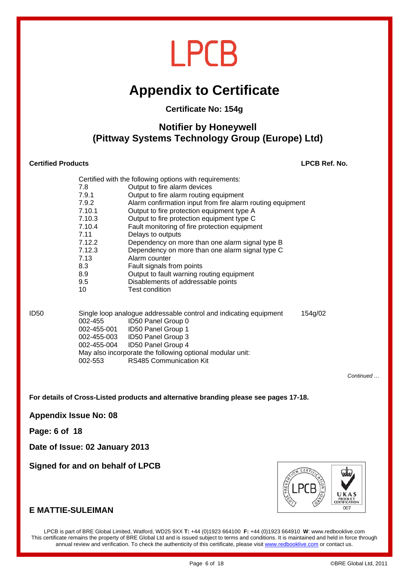## **Appendix to Certificate**

#### **Certificate No: 154g**

#### **Notifier by Honeywell (Pittway Systems Technology Group (Europe) Ltd)**

#### **Certified Products LPCB Ref. No.**

|        | Certified with the following options with requirements:    |
|--------|------------------------------------------------------------|
| 7.8    | Output to fire alarm devices                               |
| 7.9.1  | Output to fire alarm routing equipment                     |
| 7.9.2  | Alarm confirmation input from fire alarm routing equipment |
| 7.10.1 | Output to fire protection equipment type A                 |
| 7.10.3 | Output to fire protection equipment type C                 |
| 7.10.4 | Fault monitoring of fire protection equipment              |
| 7.11   | Delays to outputs                                          |
| 7.12.2 | Dependency on more than one alarm signal type B            |
| 7.12.3 | Dependency on more than one alarm signal type C            |
| 7.13   | Alarm counter                                              |
| 8.3    | Fault signals from points                                  |
| 8.9    | Output to fault warning routing equipment                  |
| 9.5    | Disablements of addressable points                         |
| 10     | Test condition                                             |
|        |                                                            |

| ID50 |             | Single loop analogue addressable control and indicating equipment |  |  |
|------|-------------|-------------------------------------------------------------------|--|--|
|      | 002-455     | ID50 Panel Group 0                                                |  |  |
|      | 002-455-001 | ID50 Panel Group 1                                                |  |  |
|      | 002-455-003 | ID50 Panel Group 3                                                |  |  |
|      | 002-455-004 | ID50 Panel Group 4                                                |  |  |
|      |             | May also incorporate the following optional modular unit:         |  |  |
|      | 002-553     | <b>RS485 Communication Kit</b>                                    |  |  |
|      |             |                                                                   |  |  |

*Continued …* 

**For details of Cross-Listed products and alternative branding please see pages 17-18.** 

**Appendix Issue No: 08** 

**Page: 6 of 18** 

**Date of Issue: 02 January 2013** 

**Signed for and on behalf of LPCB** 



#### **E MATTIE-SULEIMAN**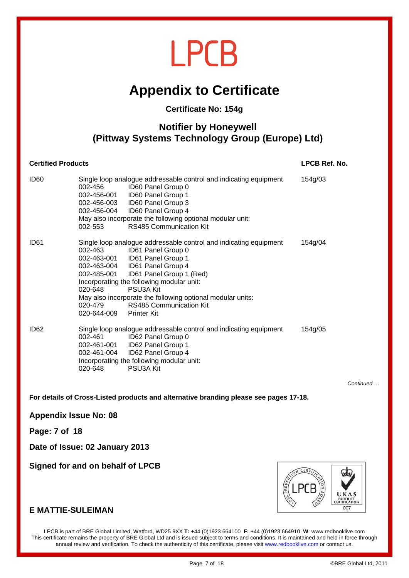### **Appendix to Certificate**

#### **Certificate No: 154g**

### **Notifier by Honeywell (Pittway Systems Technology Group (Europe) Ltd)**

#### **Certified Products LPCB Ref. No.**

| ID <sub>60</sub> | 002-456<br>002-456-004<br>002-553                | Single loop analogue addressable control and indicating equipment<br>ID60 Panel Group 0<br>002-456-001 ID60 Panel Group 1<br>002-456-003    ID60 Panel Group 3<br>ID60 Panel Group 4<br>May also incorporate the following optional modular unit:<br><b>RS485 Communication Kit</b>                                                              | 154g/03 |
|------------------|--------------------------------------------------|--------------------------------------------------------------------------------------------------------------------------------------------------------------------------------------------------------------------------------------------------------------------------------------------------------------------------------------------------|---------|
| ID <sub>61</sub> | 002-485-001<br>020-648<br>020-479<br>020-644-009 | Single loop analogue addressable control and indicating equipment<br>002-463 ID61 Panel Group 0<br>002-463-004    ID61 Panel Group 4<br>ID61 Panel Group 1 (Red)<br>Incorporating the following modular unit:<br>PSU3A Kit<br>May also incorporate the following optional modular units:<br><b>RS485 Communication Kit</b><br><b>Printer Kit</b> | 154g/04 |
| ID <sub>62</sub> | 002-461<br>020-648                               | Single loop analogue addressable control and indicating equipment<br>ID62 Panel Group 0<br>002-461-004    ID62    Panel Group 4<br>Incorporating the following modular unit:<br>PSU3A Kit                                                                                                                                                        | 154g/05 |

*Continued …* 

**For details of Cross-Listed products and alternative branding please see pages 17-18.** 

**Appendix Issue No: 08** 

**Page: 7 of 18** 

**Date of Issue: 02 January 2013** 

**Signed for and on behalf of LPCB** 



#### **E MATTIE-SULEIMAN**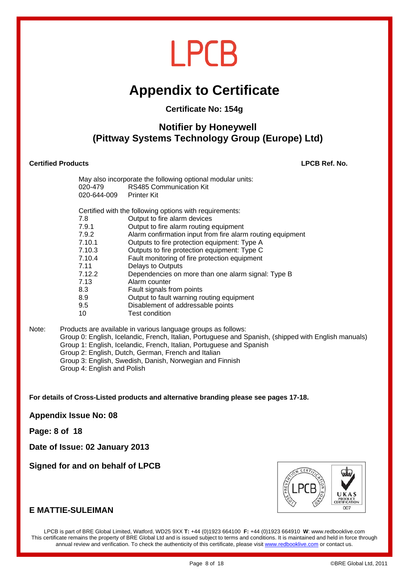## **Appendix to Certificate**

#### **Certificate No: 154g**

#### **Notifier by Honeywell (Pittway Systems Technology Group (Europe) Ltd)**

#### **Certified Products LPCB Ref. No.**

| 020-644-009 Printer Kit | May also incorporate the following optional modular units:<br>020-479 RS485 Communication Kit |
|-------------------------|-----------------------------------------------------------------------------------------------|
|                         | Certified with the following options with requirements:                                       |
| 7.8                     | Output to fire alarm devices                                                                  |
| 7.9.1                   | Output to fire alarm routing equipment                                                        |
| 7.9.2                   | Alarm confirmation input from fire alarm routing equipment                                    |
| 7.10.1                  | Outputs to fire protection equipment: Type A                                                  |
| 7.10.3                  | Outputs to fire protection equipment: Type C                                                  |
| 7.10.4                  | Fault monitoring of fire protection equipment                                                 |
| 7.11                    | Delays to Outputs                                                                             |
| 7.12.2                  | Dependencies on more than one alarm signal: Type B                                            |
| 7.13                    | Alarm counter                                                                                 |
| 8.3                     | Fault signals from points                                                                     |
| 8.9                     | Output to fault warning routing equipment                                                     |
| 9.5                     | Disablement of addressable points                                                             |
| 10                      | Test condition                                                                                |
|                         |                                                                                               |

Note: Products are available in various language groups as follows: Group 0: English, Icelandic, French, Italian, Portuguese and Spanish, (shipped with English manuals) Group 1: English, Icelandic, French, Italian, Portuguese and Spanish Group 2: English, Dutch, German, French and Italian Group 3: English, Swedish, Danish, Norwegian and Finnish Group 4: English and Polish

**For details of Cross-Listed products and alternative branding please see pages 17-18.** 

**Appendix Issue No: 08** 

**Page: 8 of 18** 

**Date of Issue: 02 January 2013** 

**Signed for and on behalf of LPCB** 



#### **E MATTIE-SULEIMAN**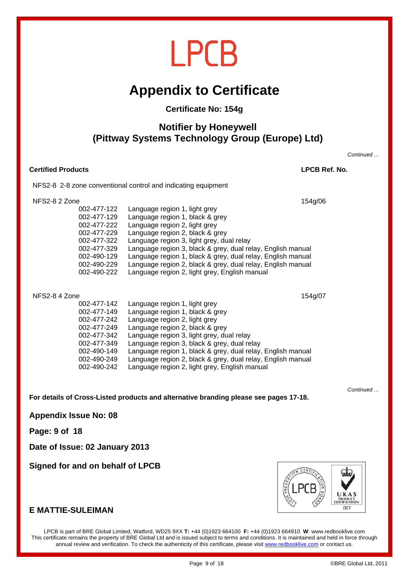### **Appendix to Certificate**

#### **Certificate No: 154g**

#### **Notifier by Honeywell (Pittway Systems Technology Group (Europe) Ltd)**

*Continued …* 

| <b>Certified Products</b>                                                                                                                            |                                                                                                                                                                                                                                                                                                                                                                                                                                 | LPCB Ref. No. |
|------------------------------------------------------------------------------------------------------------------------------------------------------|---------------------------------------------------------------------------------------------------------------------------------------------------------------------------------------------------------------------------------------------------------------------------------------------------------------------------------------------------------------------------------------------------------------------------------|---------------|
|                                                                                                                                                      | NFS2-8 2-8 zone conventional control and indicating equipment                                                                                                                                                                                                                                                                                                                                                                   |               |
| NFS2-8 2 Zone<br>002-477-122<br>002-477-129<br>002-477-222<br>002-477-229<br>002-477-322<br>002-477-329<br>002-490-129<br>002-490-229<br>002-490-222 | Language region 1, light grey<br>Language region 1, black & grey<br>Language region 2, light grey<br>Language region 2, black & grey<br>Language region 3, light grey, dual relay<br>Language region 3, black & grey, dual relay, English manual<br>Language region 1, black & grey, dual relay, English manual<br>Language region 2, black & grey, dual relay, English manual<br>Language region 2, light grey, English manual | 154g/06       |
| NFS2-8 4 Zone<br>002-477-142<br>002-477-149<br>002-477-242                                                                                           | Language region 1, light grey<br>Language region 1, black & grey<br>Language region 2, light grey                                                                                                                                                                                                                                                                                                                               | 154g/07       |

| 002-477-242 | Language region 2, light grey   |                                                             |  |
|-------------|---------------------------------|-------------------------------------------------------------|--|
| 002-477-249 | Language region 2, black & grey |                                                             |  |
| 002-477-342 |                                 | Language region 3, light grey, dual relay                   |  |
| 002-477-349 |                                 | Language region 3, black & grey, dual relay                 |  |
| 002-490-149 |                                 | Language region 1, black & grey, dual relay, English manual |  |
| 002-490-249 |                                 | Language region 2, black & grey, dual relay, English manual |  |
| 002-490-242 |                                 | Language region 2, light grey, English manual               |  |
|             |                                 |                                                             |  |

**For details of Cross-Listed products and alternative branding please see pages 17-18.** 

**Appendix Issue No: 08** 

**Page: 9 of 18** 

**Date of Issue: 02 January 2013** 

**Signed for and on behalf of LPCB** 



#### **E MATTIE-SULEIMAN**

LPCB is part of BRE Global Limited, Watford, WD25 9XX **T:** +44 (0)1923 664100 **F:** +44 (0)1923 664910 **W**: www.redbooklive.com This certificate remains the property of BRE Global Ltd and is issued subject to terms and conditions. It is maintained and held in force through annual review and verification. To check the authenticity of this certificate, please visit www.redbooklive.com or contact us.

*Continued …*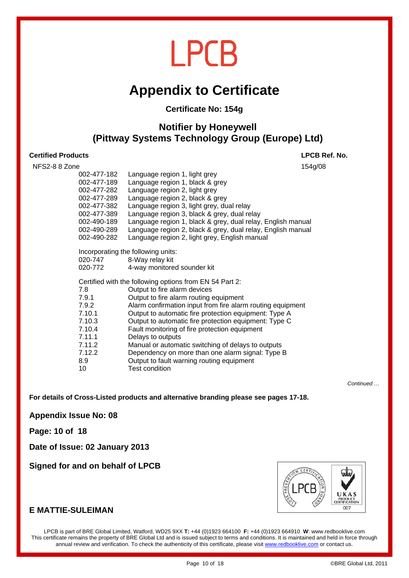### **Appendix to Certificate**

#### **Certificate No: 154g**

#### **Notifier by Honeywell (Pittway Systems Technology Group (Europe) Ltd)**

#### **Certified Products LPCB Ref. No.**

| NFS2-8 8 Zone | 154g/08                                                     |
|---------------|-------------------------------------------------------------|
| 002-477-182   | Language region 1, light grey                               |
| 002-477-189   | Language region 1, black & grey                             |
| 002-477-282   | Language region 2, light grey                               |
| 002-477-289   | Language region 2, black & grey                             |
| 002-477-382   | Language region 3, light grey, dual relay                   |
| 002-477-389   | Language region 3, black & grey, dual relay                 |
| 002-490-189   | Language region 1, black & grey, dual relay, English manual |
| 002-490-289   | Language region 2, black & grey, dual relay, English manual |
| 002-490-282   | Language region 2, light grey, English manual               |
|               | Incorporating the following units:                          |
| 020-747       | 8-Way relay kit                                             |
| 020-772       | 4-way monitored sounder kit                                 |
|               | Certified with the following options from EN 54 Part 2:     |
| 7.8           | Output to fire alarm devices                                |
| 7.9.1         | Output to fire alarm routing equipment                      |
| 7.9.2         | Alarm confirmation input from fire alarm routing equipment  |
| 7.10.1        | Output to automatic fire protection equipment: Type A       |
| 7.10.3        | Output to automatic fire protection equipment: Type C       |
| 7.10.4        | Fault monitoring of fire protection equipment               |
| 7.11.1        | Delays to outputs                                           |
| 7.11.2        | Manual or automatic switching of delays to outputs          |
| 7.12.2        | Dependency on more than one alarm signal: Type B            |
| 8.9           | Output to fault warning routing equipment                   |
| 10            | <b>Test condition</b>                                       |

*Continued …* 

**For details of Cross-Listed products and alternative branding please see pages 17-18.** 

**Appendix Issue No: 08** 

**Page: 10 of 18** 

**Date of Issue: 02 January 2013** 

**Signed for and on behalf of LPCB** 



#### **E MATTIE-SULEIMAN**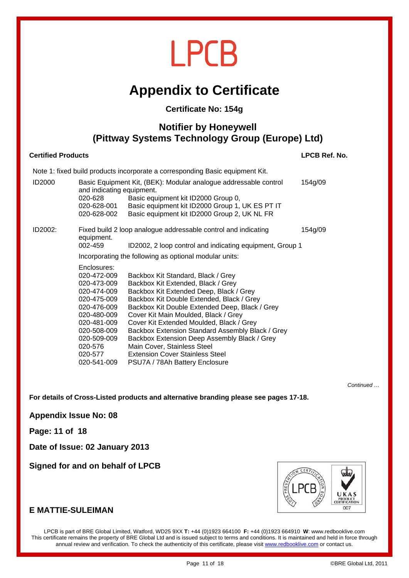## **Appendix to Certificate**

#### **Certificate No: 154g**

#### **Notifier by Honeywell (Pittway Systems Technology Group (Europe) Ltd)**

#### **Certified Products LPCB Ref. No.**

Note 1: fixed build products incorporate a corresponding Basic equipment Kit.

| ID2000  | and indicating equipment.<br>020-628<br>020-628-001<br>020-628-002                                                                                                                      | Basic Equipment Kit, (BEK): Modular analogue addressable control<br>Basic equipment kit ID2000 Group 0,<br>Basic equipment kit ID2000 Group 1, UK ES PT IT<br>Basic equipment kit ID2000 Group 2, UK NL FR                                                                                                                                                                                                                                                                                                            | 154g/09 |  |  |
|---------|-----------------------------------------------------------------------------------------------------------------------------------------------------------------------------------------|-----------------------------------------------------------------------------------------------------------------------------------------------------------------------------------------------------------------------------------------------------------------------------------------------------------------------------------------------------------------------------------------------------------------------------------------------------------------------------------------------------------------------|---------|--|--|
| ID2002: | Fixed build 2 loop analogue addressable control and indicating<br>154g/09<br>equipment.<br>002-459<br>ID2002, 2 loop control and indicating equipment, Group 1                          |                                                                                                                                                                                                                                                                                                                                                                                                                                                                                                                       |         |  |  |
|         | Incorporating the following as optional modular units:                                                                                                                                  |                                                                                                                                                                                                                                                                                                                                                                                                                                                                                                                       |         |  |  |
|         | Enclosures:<br>020-472-009<br>020-473-009<br>020-474-009<br>020-475-009<br>020-476-009<br>020-480-009<br>020-481-009<br>020-508-009<br>020-509-009<br>020-576<br>020-577<br>020-541-009 | Backbox Kit Standard, Black / Grey<br>Backbox Kit Extended, Black / Grey<br>Backbox Kit Extended Deep, Black / Grey<br>Backbox Kit Double Extended, Black / Grey<br>Backbox Kit Double Extended Deep, Black / Grey<br>Cover Kit Main Moulded, Black / Grey<br>Cover Kit Extended Moulded, Black / Grey<br>Backbox Extension Standard Assembly Black / Grey<br>Backbox Extension Deep Assembly Black / Grey<br>Main Cover, Stainless Steel<br><b>Extension Cover Stainless Steel</b><br>PSU7A / 78Ah Battery Enclosure |         |  |  |

*Continued …* 

**For details of Cross-Listed products and alternative branding please see pages 17-18.** 

**Appendix Issue No: 08** 

**Page: 11 of 18** 

**Date of Issue: 02 January 2013** 

**Signed for and on behalf of LPCB** 



#### **E MATTIE-SULEIMAN**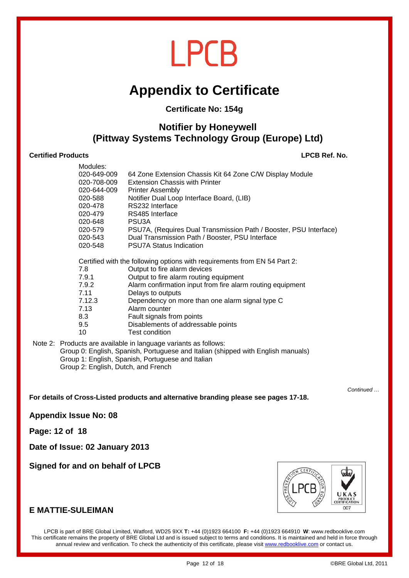## **Appendix to Certificate**

#### **Certificate No: 154g**

#### **Notifier by Honeywell (Pittway Systems Technology Group (Europe) Ltd)**

#### **Certified Products LPCB Ref. No.**

| Modules:    |                                                                           |
|-------------|---------------------------------------------------------------------------|
| 020-649-009 | 64 Zone Extension Chassis Kit 64 Zone C/W Display Module                  |
| 020-708-009 | <b>Extension Chassis with Printer</b>                                     |
| 020-644-009 | <b>Printer Assembly</b>                                                   |
| 020-588     | Notifier Dual Loop Interface Board, (LIB)                                 |
| 020-478     | RS232 Interface                                                           |
| 020-479     | RS485 Interface                                                           |
| 020-648     | PSU3A                                                                     |
| 020-579     | PSU7A, (Requires Dual Transmission Path / Booster, PSU Interface)         |
| 020-543     | Dual Transmission Path / Booster, PSU Interface                           |
| 020-548     | <b>PSU7A Status Indication</b>                                            |
|             | Certified with the following options with requirements from EN 54 Part 2: |
| 7.8         | Output to fire alarm devices                                              |
| 7.9.1       | Output to fire alarm routing equipment                                    |
| 7.9.2       | Alarm confirmation input from fire alarm routing equipment                |
| 7.11        | Delays to outputs                                                         |
| 7.12.3      | Dependency on more than one alarm signal type C                           |
| 7.13        | Alarm counter                                                             |
| 8.3         | Fault signals from points                                                 |
| 9.5         | Disablements of addressable points                                        |
| 10          | <b>Test condition</b>                                                     |
|             |                                                                           |

#### Note 2: Products are available in language variants as follows: Group 0: English, Spanish, Portuguese and Italian (shipped with English manuals) Group 1: English, Spanish, Portuguese and Italian Group 2: English, Dutch, and French

*Continued …* 

**For details of Cross-Listed products and alternative branding please see pages 17-18.** 

**Appendix Issue No: 08** 

**Page: 12 of 18** 

**Date of Issue: 02 January 2013** 

**Signed for and on behalf of LPCB** 



#### **E MATTIE-SULEIMAN**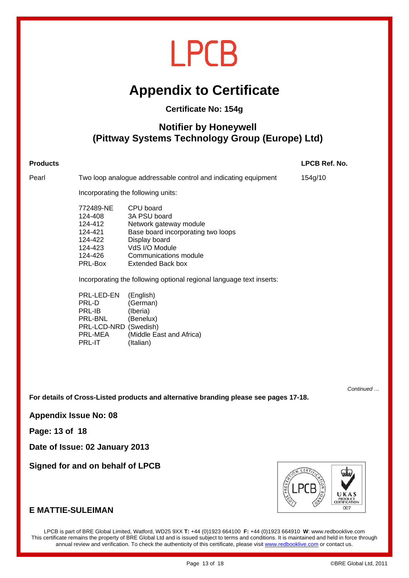## **Appendix to Certificate**

#### **Certificate No: 154g**

### **Notifier by Honeywell (Pittway Systems Technology Group (Europe) Ltd)**

### **Products LPCB Ref. No.**  Pearl Two loop analogue addressable control and indicating equipment 154g/10 Incorporating the following units: 772489-NE CPU board 124-408 3A PSU board 124-412 Network gateway module 124-421 Base board incorporating two loops 124-422 Display board 124-423 VdS I/O Module 124-426 Communications module PRL-Box Extended Back box Incorporating the following optional regional language text inserts: PRL-LED-EN (English) PRL-D (German)<br>PRL-IB (Iberia) PRL-IB (Iberia)<br>PRL-BNL (Benelu (Benelux) PRL-LCD-NRD (Swedish) PRL-MEA (Middle East and Africa) PRL-IT (Italian)

*Continued …* 

**For details of Cross-Listed products and alternative branding please see pages 17-18.** 

**Appendix Issue No: 08** 

**Page: 13 of 18** 

**Date of Issue: 02 January 2013** 

**Signed for and on behalf of LPCB** 



#### **E MATTIE-SULEIMAN**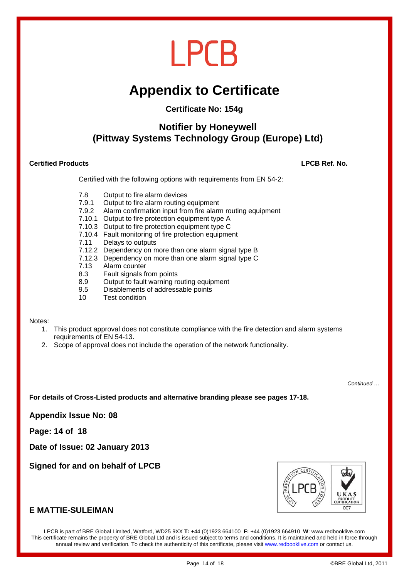## **Appendix to Certificate**

#### **Certificate No: 154g**

#### **Notifier by Honeywell (Pittway Systems Technology Group (Europe) Ltd)**

#### **Certified Products LPCB Ref. No.**

Certified with the following options with requirements from EN 54-2:

- 7.8 Output to fire alarm devices
- 7.9.1 Output to fire alarm routing equipment
- 7.9.2 Alarm confirmation input from fire alarm routing equipment
- 7.10.1 Output to fire protection equipment type A
- 7.10.3 Output to fire protection equipment type C
- 7.10.4 Fault monitoring of fire protection equipment
- 7.11 Delays to outputs
- 7.12.2 Dependency on more than one alarm signal type B
- 7.12.3 Dependency on more than one alarm signal type C
- 7.13 Alarm counter
- 8.3 Fault signals from points
- 8.9 Output to fault warning routing equipment
- 9.5 Disablements of addressable points
- 10 Test condition

#### Notes:

- 1. This product approval does not constitute compliance with the fire detection and alarm systems requirements of EN 54-13.
- 2. Scope of approval does not include the operation of the network functionality.

*Continued …* 

**For details of Cross-Listed products and alternative branding please see pages 17-18.** 

**Appendix Issue No: 08** 

**Page: 14 of 18** 

**Date of Issue: 02 January 2013** 

**Signed for and on behalf of LPCB** 



#### **E MATTIE-SULEIMAN**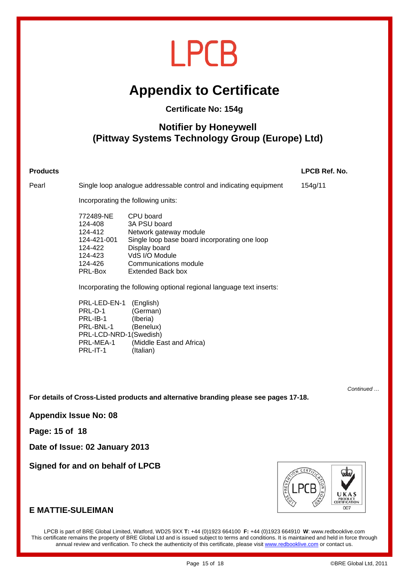## **Appendix to Certificate**

#### **Certificate No: 154g**

### **Notifier by Honeywell (Pittway Systems Technology Group (Europe) Ltd)**

#### **Products LPCB Ref. No.**  Pearl Single loop analogue addressable control and indicating equipment 154g/11 Incorporating the following units: 772489-NE CPU board 124-408 3A PSU board 124-412 Network gateway module 124-421-001 Single loop base board incorporating one loop 124-422 Display board 124-423 VdS I/O Module 124-426 Communications module PRL-Box Extended Back box Incorporating the following optional regional language text inserts: PRL-LED-EN-1 (English)<br>PRL-D-1 (German) (German)

 PRL-IB-1 (Iberia) PRL-BNL-1 (Benelux) PRL-LCD-NRD-1 (Swedish) PRL-MEA-1 (Middle East and Africa) PRL-IT-1 (Italian)

**For details of Cross-Listed products and alternative branding please see pages 17-18.** 

**Appendix Issue No: 08** 

**Page: 15 of 18** 

**Date of Issue: 02 January 2013** 

**Signed for and on behalf of LPCB** 



#### **E MATTIE-SULEIMAN**

LPCB is part of BRE Global Limited, Watford, WD25 9XX **T:** +44 (0)1923 664100 **F:** +44 (0)1923 664910 **W**: www.redbooklive.com This certificate remains the property of BRE Global Ltd and is issued subject to terms and conditions. It is maintained and held in force through annual review and verification. To check the authenticity of this certificate, please visit www.redbooklive.com or contact us.

*Continued …*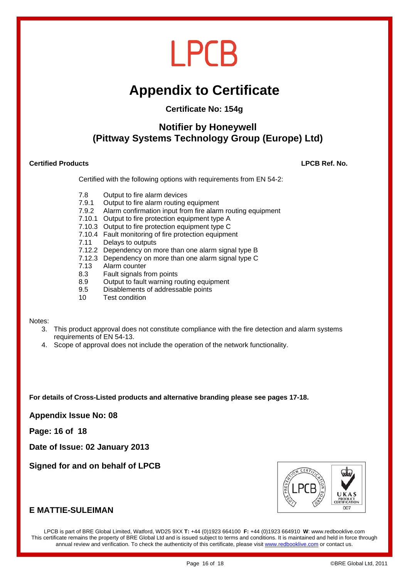## **Appendix to Certificate**

#### **Certificate No: 154g**

### **Notifier by Honeywell (Pittway Systems Technology Group (Europe) Ltd)**

#### **Certified Products LPCB Ref. No.**

Certified with the following options with requirements from EN 54-2:

- 7.8 Output to fire alarm devices
- 7.9.1 Output to fire alarm routing equipment
- 7.9.2 Alarm confirmation input from fire alarm routing equipment
- 7.10.1 Output to fire protection equipment type A
- 7.10.3 Output to fire protection equipment type C
- 7.10.4 Fault monitoring of fire protection equipment
- 7.11 Delays to outputs
- 7.12.2 Dependency on more than one alarm signal type B
- 7.12.3 Dependency on more than one alarm signal type C
- 7.13 Alarm counter
- 8.3 Fault signals from points
- 8.9 Output to fault warning routing equipment
- 9.5 Disablements of addressable points
- 10 Test condition

#### Notes:

- 3. This product approval does not constitute compliance with the fire detection and alarm systems requirements of EN 54-13.
- 4. Scope of approval does not include the operation of the network functionality.

#### **For details of Cross-Listed products and alternative branding please see pages 17-18.**

**Appendix Issue No: 08** 

**Page: 16 of 18** 

**Date of Issue: 02 January 2013** 

**Signed for and on behalf of LPCB** 



#### **E MATTIE-SULEIMAN**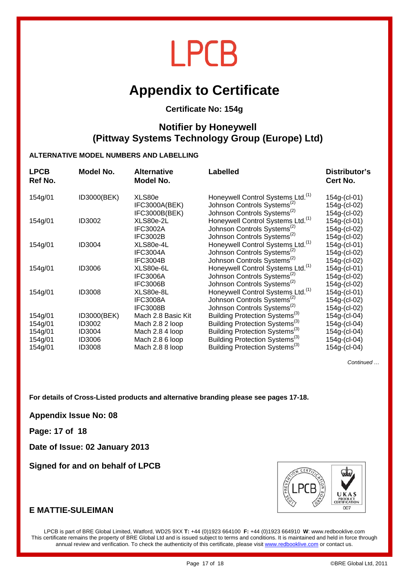### **Appendix to Certificate**

#### **Certificate No: 154g**

#### **Notifier by Honeywell (Pittway Systems Technology Group (Europe) Ltd)**

#### **ALTERNATIVE MODEL NUMBERS AND LABELLING**

| <b>LPCB</b><br>Ref No. | Model No.     | <b>Alternative</b><br>Model No. | <b>Labelled</b>                                                                          | Distributor's<br>Cert No.    |
|------------------------|---------------|---------------------------------|------------------------------------------------------------------------------------------|------------------------------|
| 154g/01                | ID3000(BEK)   | XLS80e<br>IFC3000A(BEK)         | Honeywell Control Systems Ltd. <sup>(1)</sup><br>Johnson Controls Systems <sup>(2)</sup> | 154g-(cl-01)<br>154g-(cl-02) |
|                        |               | IFC3000B(BEK)                   | Johnson Controls Systems <sup>(2)</sup>                                                  | 154g-(cl-02)                 |
| 154g/01                | ID3002        | XLS80e-2L<br><b>IFC3002A</b>    | Honeywell Control Systems Ltd. <sup>(1)</sup><br>Johnson Controls Systems <sup>(2)</sup> | 154g-(cl-01)<br>154g-(cl-02) |
|                        |               | IFC3002B                        | Johnson Controls Systems <sup>(2)</sup>                                                  | 154g-(cl-02)                 |
| 154g/01                | ID3004        | XLS80e-4L                       | Honeywell Control Systems Ltd. <sup>(1)</sup>                                            | 154g-(cl-01)                 |
|                        |               | IFC3004A                        | Johnson Controls Systems <sup>(2)</sup>                                                  | 154g-(cl-02)                 |
|                        |               | IFC3004B                        | Johnson Controls Systems <sup>(2)</sup>                                                  | 154g-(cl-02)                 |
| 154g/01                | <b>ID3006</b> | XLS80e-6L                       | Honeywell Control Systems Ltd. <sup>(1)</sup>                                            | 154g-(cl-01)                 |
|                        |               | <b>IFC3006A</b>                 | Johnson Controls Systems <sup>(2)</sup>                                                  | 154g-(cl-02)                 |
|                        |               | <b>IFC3006B</b>                 | Johnson Controls Systems <sup>(2)</sup>                                                  | 154g-(cl-02)                 |
| 154g/01                | <b>ID3008</b> | XLS80e-8L                       | Honeywell Control Systems Ltd. <sup>(1)</sup>                                            | 154g-(cl-01)                 |
|                        |               | <b>IFC3008A</b>                 | Johnson Controls Systems <sup>(2)</sup>                                                  | 154g-(cl-02)                 |
|                        |               | <b>IFC3008B</b>                 | Johnson Controls Systems <sup>(2)</sup>                                                  | 154g-(cl-02)                 |
| 154g/01                | ID3000(BEK)   | Mach 2.8 Basic Kit              | Building Protection Systems <sup>(3)</sup>                                               | 154g-(cl-04)                 |
| 154g/01                | ID3002        | Mach 2.8 2 loop                 | Building Protection Systems <sup>(3)</sup>                                               | 154g-(cl-04)                 |
| 154g/01                | ID3004        | Mach 2.8 4 loop                 | Building Protection Systems <sup>(3)</sup>                                               | 154g-(cl-04)                 |
| 154g/01                | ID3006        | Mach 2.8 6 loop                 | Building Protection Systems <sup>(3)</sup>                                               | 154g-(cl-04)                 |
| 154g/01                | <b>ID3008</b> | Mach 2.8 8 loop                 | Building Protection Systems <sup>(3)</sup>                                               | 154g-(cl-04)                 |
|                        |               |                                 |                                                                                          |                              |

*Continued …* 

**For details of Cross-Listed products and alternative branding please see pages 17-18.** 

**Appendix Issue No: 08** 

**Page: 17 of 18** 

**Date of Issue: 02 January 2013** 

**Signed for and on behalf of LPCB** 



#### **E MATTIE-SULEIMAN**